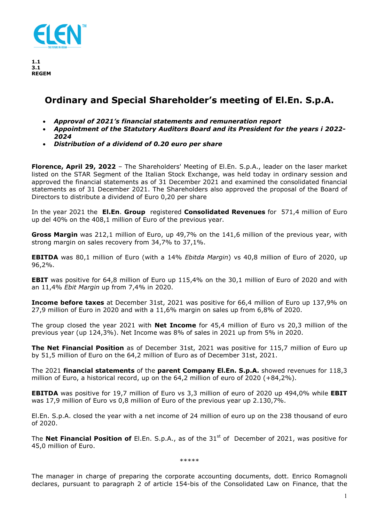

# **Ordinary and Special Shareholder's meeting of El.En. S.p.A.**

- *Approval of 2021's financial statements and remuneration report*
- *Appointment of the Statutory Auditors Board and its President for the years i 2022- 2024*
- *Distribution of a dividend of 0.20 euro per share*

**Florence, April 29, 2022** – The Shareholders' Meeting of El.En. S.p.A., leader on the laser market listed on the STAR Segment of the Italian Stock Exchange, was held today in ordinary session and approved the financial statements as of 31 December 2021 and examined the consolidated financial statements as of 31 December 2021. The Shareholders also approved the proposal of the Board of Directors to distribute a dividend of Euro 0,20 per share

In the year 2021 the **El.En**. **Group** registered **Consolidated Revenues** for 571,4 million of Euro up del 40% on the 408,1 million of Euro of the previous year.

**Gross Margin** was 212,1 million of Euro, up 49,7% on the 141,6 million of the previous year, with strong margin on sales recovery from 34,7% to 37,1%.

**EBITDA** was 80,1 million of Euro (with a 14% *Ebitda Margin*) vs 40,8 million of Euro of 2020, up 96,2%.

**EBIT** was positive for 64,8 million of Euro up 115,4% on the 30,1 million of Euro of 2020 and with an 11,4% *Ebit Margin* up from 7,4% in 2020.

**Income before taxes** at December 31st, 2021 was positive for 66,4 million of Euro up 137,9% on 27,9 million of Euro in 2020 and with a 11,6% margin on sales up from 6,8% of 2020.

The group closed the year 2021 with **Net Income** for 45,4 million of Euro vs 20,3 million of the previous year (up 124,3%). Net Income was 8% of sales in 2021 up from 5% in 2020.

**The Net Financial Position** as of December 31st, 2021 was positive for 115,7 million of Euro up by 51,5 million of Euro on the 64,2 million of Euro as of December 31st, 2021.

The 2021 **financial statements** of the **parent Company El.En. S.p.A.** showed revenues for 118,3 million of Euro, a historical record, up on the 64,2 million of euro of 2020 (+84,2%).

**EBITDA** was positive for 19,7 million of Euro vs 3,3 million of euro of 2020 up 494,0% while **EBIT** was 17,9 million of Euro vs 0,8 million of Euro of the previous year up 2.130,7%.

El.En. S.p.A. closed the year with a net income of 24 million of euro up on the 238 thousand of euro of 2020.

The **Net Financial Position of** El.En. S.p.A., as of the 31<sup>st</sup> of December of 2021, was positive for 45,0 million of Euro.

\*\*\*\*\*

The manager in charge of preparing the corporate accounting documents, dott. Enrico Romagnoli declares, pursuant to paragraph 2 of article 154-bis of the Consolidated Law on Finance, that the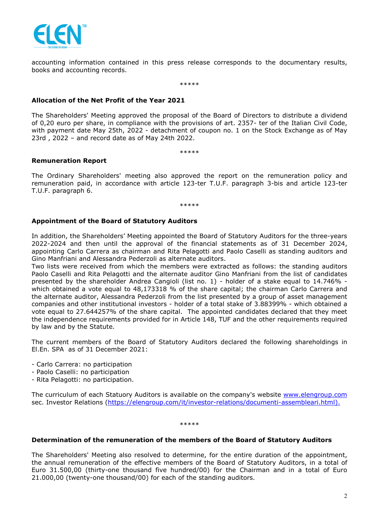

accounting information contained in this press release corresponds to the documentary results, books and accounting records.

\*\*\*\*\*

## **Allocation of the Net Profit of the Year 2021**

The Shareholders' Meeting approved the proposal of the Board of Directors to distribute a dividend of 0,20 euro per share, in compliance with the provisions of art. 2357- ter of the Italian Civil Code, with payment date May 25th, 2022 - detachment of coupon no. 1 on the Stock Exchange as of May 23rd , 2022 – and record date as of May 24th 2022.

\*\*\*\*\*

### **Remuneration Report**

The Ordinary Shareholders' meeting also approved the report on the remuneration policy and remuneration paid, in accordance with article 123-ter T.U.F. paragraph 3-bis and article 123-ter T.U.F. paragraph 6.

\*\*\*\*\*

### **Appointment of the Board of Statutory Auditors**

In addition, the Shareholders' Meeting appointed the Board of Statutory Auditors for the three-years 2022-2024 and then until the approval of the financial statements as of 31 December 2024, appointing Carlo Carrera as chairman and Rita Pelagotti and Paolo Caselli as standing auditors and Gino Manfriani and Alessandra Pederzoli as alternate auditors.

Two lists were received from which the members were extracted as follows: the standing auditors Paolo Caselli and Rita Pelagotti and the alternate auditor Gino Manfriani from the list of candidates presented by the shareholder Andrea Cangioli (list no. 1) - holder of a stake equal to 14.746% which obtained a vote equal to 48,173318 % of the share capital; the chairman Carlo Carrera and the alternate auditor, Alessandra Pederzoli from the list presented by a group of asset management companies and other institutional investors - holder of a total stake of 3.88399% - which obtained a vote equal to 27.644257% of the share capital. The appointed candidates declared that they meet the independence requirements provided for in Article 148, TUF and the other requirements required by law and by the Statute.

The current members of the Board of Statutory Auditors declared the following shareholdings in El.En. SPA as of 31 December 2021:

- Carlo Carrera: no participation
- Paolo Caselli: no participation
- Rita Pelagotti: no participation.

The curriculum of each Statuory Auditors is available on the company's website www.elengroup.com sec. Investor Relations (https://elengroup.com/it/investor-relations/documenti-assembleari.html).

\*\*\*\*\*

### **Determination of the remuneration of the members of the Board of Statutory Auditors**

The Shareholders' Meeting also resolved to determine, for the entire duration of the appointment, the annual remuneration of the effective members of the Board of Statutory Auditors, in a total of Euro 31.500,00 (thirty-one thousand five hundred/00) for the Chairman and in a total of Euro 21.000,00 (twenty-one thousand/00) for each of the standing auditors.